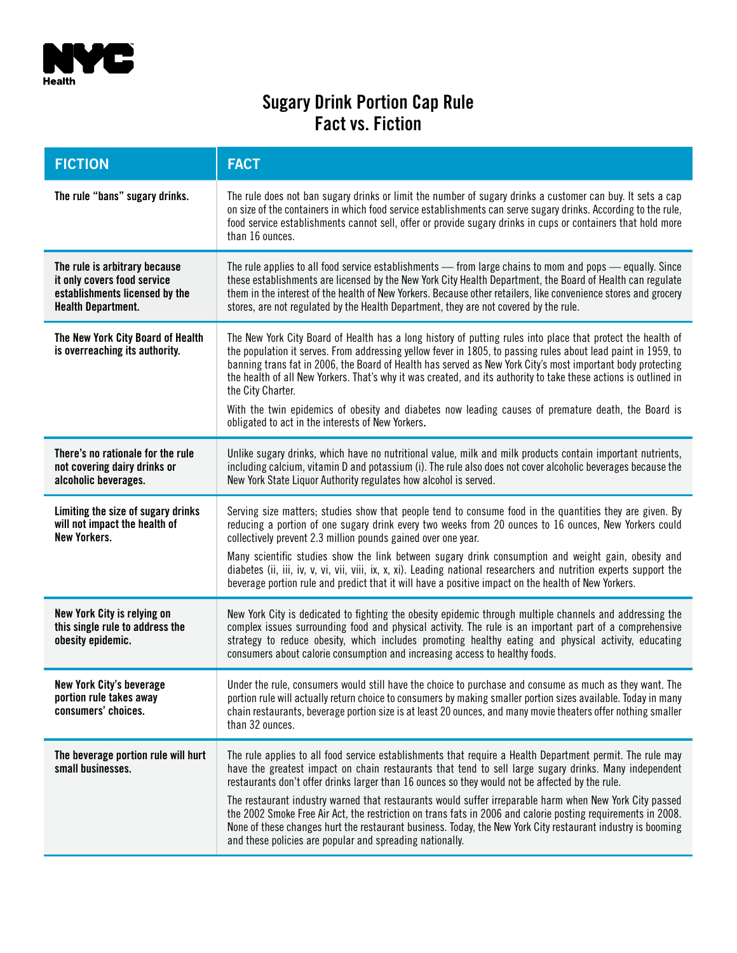

## **Sugary Drink Portion Cap Rule Fact vs. Fiction**

| <b>FICTION</b>                                                                                                              | <b>FACT</b>                                                                                                                                                                                                                                                                                                                                                                                                                                                                                                                                                                                                                                                                                                                 |
|-----------------------------------------------------------------------------------------------------------------------------|-----------------------------------------------------------------------------------------------------------------------------------------------------------------------------------------------------------------------------------------------------------------------------------------------------------------------------------------------------------------------------------------------------------------------------------------------------------------------------------------------------------------------------------------------------------------------------------------------------------------------------------------------------------------------------------------------------------------------------|
| The rule "bans" sugary drinks.                                                                                              | The rule does not ban sugary drinks or limit the number of sugary drinks a customer can buy. It sets a cap<br>on size of the containers in which food service establishments can serve sugary drinks. According to the rule,<br>food service establishments cannot sell, offer or provide sugary drinks in cups or containers that hold more<br>than 16 ounces.                                                                                                                                                                                                                                                                                                                                                             |
| The rule is arbitrary because<br>it only covers food service<br>establishments licensed by the<br><b>Health Department.</b> | The rule applies to all food service establishments — from large chains to mom and pops — equally. Since<br>these establishments are licensed by the New York City Health Department, the Board of Health can regulate<br>them in the interest of the health of New Yorkers. Because other retailers, like convenience stores and grocery<br>stores, are not regulated by the Health Department, they are not covered by the rule.                                                                                                                                                                                                                                                                                          |
| The New York City Board of Health<br>is overreaching its authority.                                                         | The New York City Board of Health has a long history of putting rules into place that protect the health of<br>the population it serves. From addressing yellow fever in 1805, to passing rules about lead paint in 1959, to<br>banning trans fat in 2006, the Board of Health has served as New York City's most important body protecting<br>the health of all New Yorkers. That's why it was created, and its authority to take these actions is outlined in<br>the City Charter.<br>With the twin epidemics of obesity and diabetes now leading causes of premature death, the Board is<br>obligated to act in the interests of New Yorkers.                                                                            |
| There's no rationale for the rule<br>not covering dairy drinks or<br>alcoholic beverages.                                   | Unlike sugary drinks, which have no nutritional value, milk and milk products contain important nutrients,<br>including calcium, vitamin D and potassium (i). The rule also does not cover alcoholic beverages because the<br>New York State Liquor Authority regulates how alcohol is served.                                                                                                                                                                                                                                                                                                                                                                                                                              |
| Limiting the size of sugary drinks<br>will not impact the health of<br><b>New Yorkers.</b>                                  | Serving size matters; studies show that people tend to consume food in the quantities they are given. By<br>reducing a portion of one sugary drink every two weeks from 20 ounces to 16 ounces, New Yorkers could<br>collectively prevent 2.3 million pounds gained over one year.<br>Many scientific studies show the link between sugary drink consumption and weight gain, obesity and<br>diabetes (ii, iii, iv, v, vi, vii, viii, ix, x, xi). Leading national researchers and nutrition experts support the<br>beverage portion rule and predict that it will have a positive impact on the health of New Yorkers.                                                                                                     |
| New York City is relying on<br>this single rule to address the<br>obesity epidemic.                                         | New York City is dedicated to fighting the obesity epidemic through multiple channels and addressing the<br>complex issues surrounding food and physical activity. The rule is an important part of a comprehensive<br>strategy to reduce obesity, which includes promoting healthy eating and physical activity, educating<br>consumers about calorie consumption and increasing access to healthy foods.                                                                                                                                                                                                                                                                                                                  |
| <b>New York City's beverage</b><br>portion rule takes away<br>consumers' choices.                                           | Under the rule, consumers would still have the choice to purchase and consume as much as they want. The<br>portion rule will actually return choice to consumers by making smaller portion sizes available. Today in many<br>chain restaurants, beverage portion size is at least 20 ounces, and many movie theaters offer nothing smaller<br>than 32 ounces.                                                                                                                                                                                                                                                                                                                                                               |
| The beverage portion rule will hurt<br>small businesses.                                                                    | The rule applies to all food service establishments that require a Health Department permit. The rule may<br>have the greatest impact on chain restaurants that tend to sell large sugary drinks. Many independent<br>restaurants don't offer drinks larger than 16 ounces so they would not be affected by the rule.<br>The restaurant industry warned that restaurants would suffer irreparable harm when New York City passed<br>the 2002 Smoke Free Air Act, the restriction on trans fats in 2006 and calorie posting requirements in 2008.<br>None of these changes hurt the restaurant business. Today, the New York City restaurant industry is booming<br>and these policies are popular and spreading nationally. |